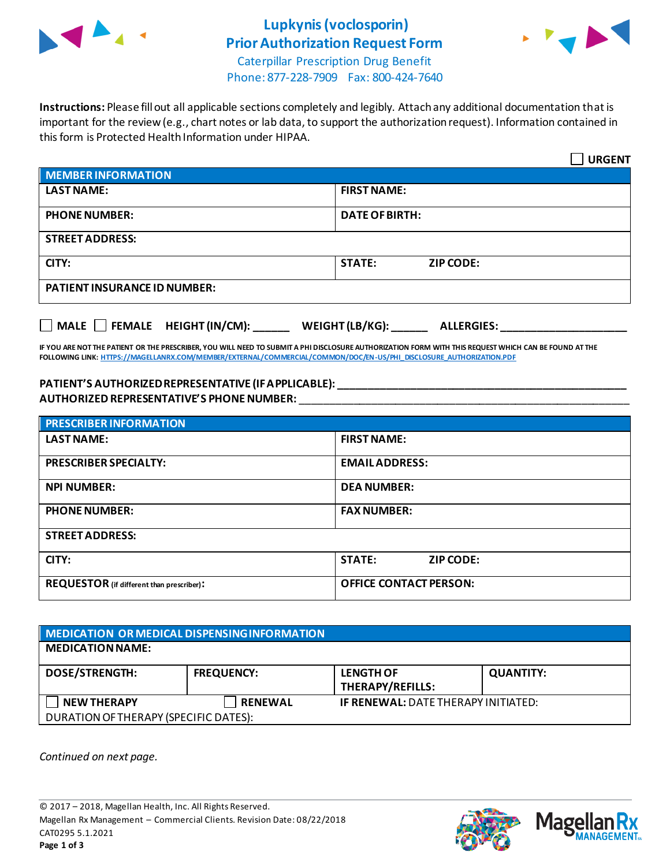

# **Lupkynis (voclosporin) Prior Authorization Request Form**



Caterpillar Prescription Drug Benefit Phone: 877-228-7909 Fax: 800-424-7640

**Instructions:** Please fill out all applicable sections completely and legibly. Attach any additional documentation that is important for the review (e.g., chart notes or lab data, to support the authorization request). Information contained in this form is Protected Health Information under HIPAA.

|                                                                                   | <b>URGENT</b>                     |  |  |
|-----------------------------------------------------------------------------------|-----------------------------------|--|--|
| <b>MEMBER INFORMATION</b>                                                         |                                   |  |  |
| <b>LAST NAME:</b>                                                                 | <b>FIRST NAME:</b>                |  |  |
| <b>PHONE NUMBER:</b>                                                              | <b>DATE OF BIRTH:</b>             |  |  |
| <b>STREET ADDRESS:</b>                                                            |                                   |  |  |
| CITY:                                                                             | <b>STATE:</b><br><b>ZIP CODE:</b> |  |  |
| <b>PATIENT INSURANCE ID NUMBER:</b>                                               |                                   |  |  |
| $\Box$ MALE $\Box$ FEMALE HEIGHT (IN/CM):<br>WEIGHT (LB/KG):<br><b>ALLERGIES:</b> |                                   |  |  |

**IF YOU ARE NOT THE PATIENT OR THE PRESCRIBER, YOU WILL NEED TO SUBMIT A PHI DISCLOSURE AUTHORIZATION FORM WITH THIS REQUEST WHICH CAN BE FOUND AT THE FOLLOWING LINK[: HTTPS://MAGELLANRX.COM/MEMBER/EXTERNAL/COMMERCIAL/COMMON/DOC/EN-US/PHI\\_DISCLOSURE\\_AUTHORIZATION.PDF](https://magellanrx.com/member/external/commercial/common/doc/en-us/PHI_Disclosure_Authorization.pdf)**

#### **PATIENT'S AUTHORIZED REPRESENTATIVE (IF APPLICABLE): \_\_\_\_\_\_\_\_\_\_\_\_\_\_\_\_\_\_\_\_\_\_\_\_\_\_\_\_\_\_\_\_\_\_\_\_\_\_\_\_\_\_\_\_\_\_\_\_ AUTHORIZED REPRESENTATIVE'S PHONE NUMBER:** \_\_\_\_\_\_\_\_\_\_\_\_\_\_\_\_\_\_\_\_\_\_\_\_\_\_\_\_\_\_\_\_\_\_\_\_\_\_\_\_\_\_\_\_\_\_\_\_\_\_\_\_\_\_\_

| <b>PRESCRIBER INFORMATION</b>             |                               |  |  |
|-------------------------------------------|-------------------------------|--|--|
| <b>LAST NAME:</b>                         | <b>FIRST NAME:</b>            |  |  |
| <b>PRESCRIBER SPECIALTY:</b>              | <b>EMAIL ADDRESS:</b>         |  |  |
| <b>NPI NUMBER:</b>                        | <b>DEA NUMBER:</b>            |  |  |
| <b>PHONE NUMBER:</b>                      | <b>FAX NUMBER:</b>            |  |  |
| <b>STREET ADDRESS:</b>                    |                               |  |  |
| CITY:                                     | <b>STATE:</b><br>ZIP CODE:    |  |  |
| REQUESTOR (if different than prescriber): | <b>OFFICE CONTACT PERSON:</b> |  |  |

| <b>MEDICATION OR MEDICAL DISPENSING INFORMATION</b> |                   |                                            |                  |  |  |
|-----------------------------------------------------|-------------------|--------------------------------------------|------------------|--|--|
| <b>MEDICATION NAME:</b>                             |                   |                                            |                  |  |  |
| <b>DOSE/STRENGTH:</b>                               | <b>FREQUENCY:</b> | <b>LENGTH OF</b><br>THERAPY/REFILLS:       | <b>QUANTITY:</b> |  |  |
| <b>NEW THERAPY</b>                                  | <b>RENEWAL</b>    | <b>IF RENEWAL: DATE THERAPY INITIATED:</b> |                  |  |  |
| DURATION OF THERAPY (SPECIFIC DATES):               |                   |                                            |                  |  |  |

*Continued on next page.*



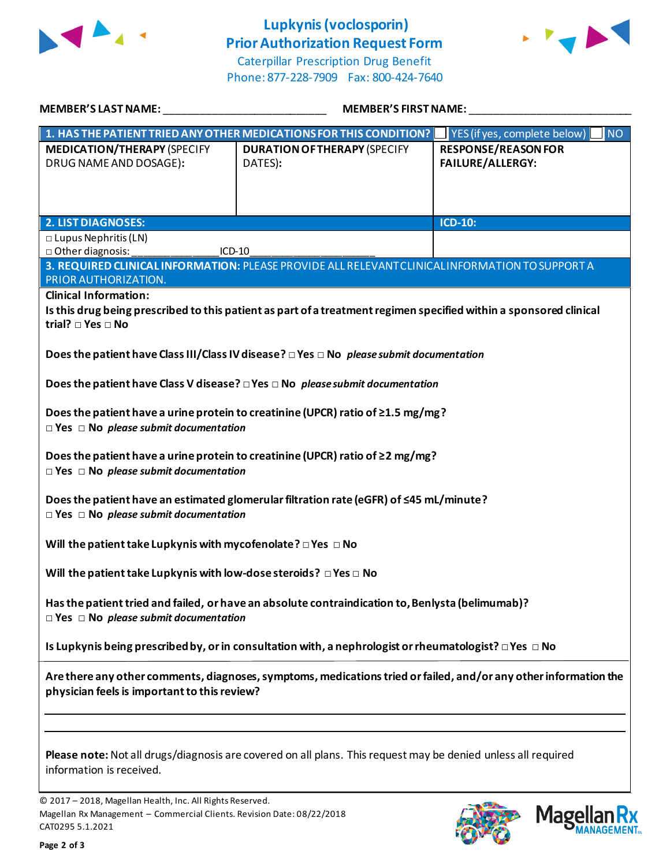

## **Lupkynis (voclosporin) Prior Authorization Request Form**



Caterpillar Prescription Drug Benefit Phone: 877-228-7909 Fax: 800-424-7640

| MEMBER'S LAST NAME:                                                                                                                                              | <b>MEMBER'S FIRST NAME:</b>                                                                     |                                                       |  |  |
|------------------------------------------------------------------------------------------------------------------------------------------------------------------|-------------------------------------------------------------------------------------------------|-------------------------------------------------------|--|--|
|                                                                                                                                                                  | 1. HAS THE PATIENT TRIED ANY OTHER MEDICATIONS FOR THIS CONDITION?                              | YES (if yes, complete below)<br><b>NO</b>             |  |  |
| <b>MEDICATION/THERAPY (SPECIFY</b><br>DRUG NAME AND DOSAGE):                                                                                                     | <b>DURATION OF THERAPY (SPECIFY</b><br>DATES):                                                  | <b>RESPONSE/REASON FOR</b><br><b>FAILURE/ALLERGY:</b> |  |  |
| <b>2. LIST DIAGNOSES:</b>                                                                                                                                        |                                                                                                 | ICD-10:                                               |  |  |
| $\square$ Lupus Nephritis (LN)                                                                                                                                   |                                                                                                 |                                                       |  |  |
| □ Other diagnosis:<br>$ICD-10$                                                                                                                                   |                                                                                                 |                                                       |  |  |
| <b>PRIOR AUTHORIZATION.</b>                                                                                                                                      | 3. REQUIRED CLINICAL INFORMATION: PLEASE PROVIDE ALL RELEVANT CLINICAL INFORMATION TO SUPPORT A |                                                       |  |  |
| <b>Clinical Information:</b>                                                                                                                                     |                                                                                                 |                                                       |  |  |
| Is this drug being prescribed to this patient as part of a treatment regimen specified within a sponsored clinical<br>trial? $\Box$ Yes $\Box$ No                |                                                                                                 |                                                       |  |  |
| Does the patient have Class III/Class IV disease? $\square$ Yes $\square$ No please submit documentation                                                         |                                                                                                 |                                                       |  |  |
|                                                                                                                                                                  | Does the patient have Class V disease? $\square$ Yes $\square$ No please submit documentation   |                                                       |  |  |
| Does the patient have a urine protein to creatinine (UPCR) ratio of $\geq$ 1.5 mg/mg?<br>$\Box$ Yes $\Box$ No please submit documentation                        |                                                                                                 |                                                       |  |  |
| Does the patient have a urine protein to creatinine (UPCR) ratio of $\geq$ 2 mg/mg?<br>$\Box$ Yes $\Box$ No please submit documentation                          |                                                                                                 |                                                       |  |  |
| Does the patient have an estimated glomerular filtration rate (eGFR) of $\leq$ 45 mL/minute?<br>$\Box$ Yes $\Box$ No please submit documentation                 |                                                                                                 |                                                       |  |  |
| Will the patient take Lupkynis with mycofenolate? $\square$ Yes $\square$ No                                                                                     |                                                                                                 |                                                       |  |  |
| Will the patient take Lupkynis with low-dose steroids? $\Box$ Yes $\Box$ No                                                                                      |                                                                                                 |                                                       |  |  |
| Has the patient tried and failed, or have an absolute contraindication to, Benlysta (belimumab)?<br>$\Box$ Yes $\Box$ No please submit documentation             |                                                                                                 |                                                       |  |  |
| Is Lupkynis being prescribed by, or in consultation with, a nephrologist or rheumatologist? $\Box$ Yes $\Box$ No                                                 |                                                                                                 |                                                       |  |  |
| Are there any other comments, diagnoses, symptoms, medications tried or failed, and/or any other information the<br>physician feels is important to this review? |                                                                                                 |                                                       |  |  |
|                                                                                                                                                                  |                                                                                                 |                                                       |  |  |
| Please note: Not all drugs/diagnosis are covered on all plans. This request may be denied unless all required<br>information is received.                        |                                                                                                 |                                                       |  |  |

© 2017 – 2018, Magellan Health, Inc. All Rights Reserved. Magellan Rx Management – Commercial Clients. Revision Date: 08/22/2018 CAT0295 5.1.2021